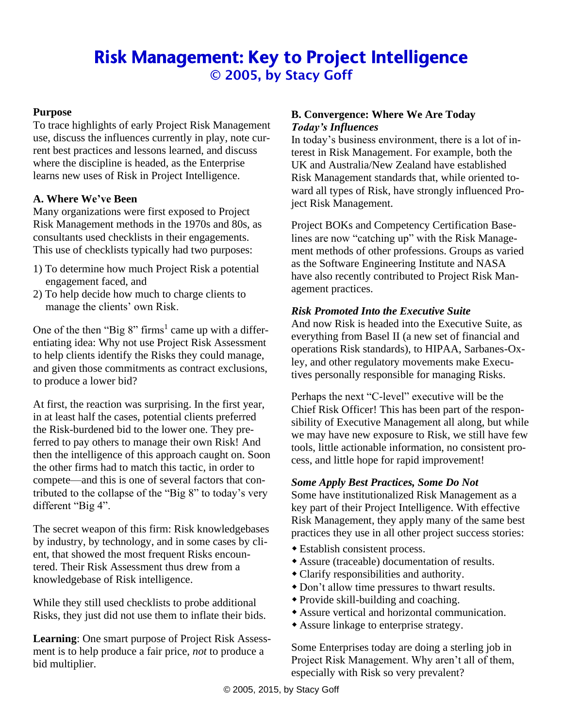# Risk Management: Key to Project Intelligence © 2005, by Stacy Goff

# **Purpose**

To trace highlights of early Project Risk Management use, discuss the influences currently in play, note current best practices and lessons learned, and discuss where the discipline is headed, as the Enterprise learns new uses of Risk in Project Intelligence.

## **A. Where We've Been**

Many organizations were first exposed to Project Risk Management methods in the 1970s and 80s, as consultants used checklists in their engagements. This use of checklists typically had two purposes:

- 1) To determine how much Project Risk a potential engagement faced, and
- 2) To help decide how much to charge clients to manage the clients' own Risk.

One of the then "Big  $8$ " firms<sup>1</sup> came up with a differentiating idea: Why not use Project Risk Assessment to help clients identify the Risks they could manage, and given those commitments as contract exclusions, to produce a lower bid?

At first, the reaction was surprising. In the first year, in at least half the cases, potential clients preferred the Risk-burdened bid to the lower one. They preferred to pay others to manage their own Risk! And then the intelligence of this approach caught on. Soon the other firms had to match this tactic, in order to compete—and this is one of several factors that contributed to the collapse of the "Big 8" to today's very different "Big 4".

The secret weapon of this firm: Risk knowledgebases by industry, by technology, and in some cases by client, that showed the most frequent Risks encountered. Their Risk Assessment thus drew from a knowledgebase of Risk intelligence.

While they still used checklists to probe additional Risks, they just did not use them to inflate their bids.

**Learning**: One smart purpose of Project Risk Assessment is to help produce a fair price, *not* to produce a bid multiplier.

#### **B. Convergence: Where We Are Today** *Today's Influences*

In today's business environment, there is a lot of interest in Risk Management. For example, both the UK and Australia/New Zealand have established Risk Management standards that, while oriented toward all types of Risk, have strongly influenced Project Risk Management.

Project BOKs and Competency Certification Baselines are now "catching up" with the Risk Management methods of other professions. Groups as varied as the Software Engineering Institute and NASA have also recently contributed to Project Risk Management practices.

# *Risk Promoted Into the Executive Suite*

And now Risk is headed into the Executive Suite, as everything from Basel II (a new set of financial and operations Risk standards), to HIPAA, Sarbanes-Oxley, and other regulatory movements make Executives personally responsible for managing Risks.

Perhaps the next "C-level" executive will be the Chief Risk Officer! This has been part of the responsibility of Executive Management all along, but while we may have new exposure to Risk, we still have few tools, little actionable information, no consistent process, and little hope for rapid improvement!

## *Some Apply Best Practices, Some Do Not*

Some have institutionalized Risk Management as a key part of their Project Intelligence. With effective Risk Management, they apply many of the same best practices they use in all other project success stories:

- Establish consistent process.
- Assure (traceable) documentation of results.
- Clarify responsibilities and authority.
- Don't allow time pressures to thwart results.
- Provide skill-building and coaching.
- Assure vertical and horizontal communication.
- Assure linkage to enterprise strategy.

Some Enterprises today are doing a sterling job in Project Risk Management. Why aren't all of them, especially with Risk so very prevalent?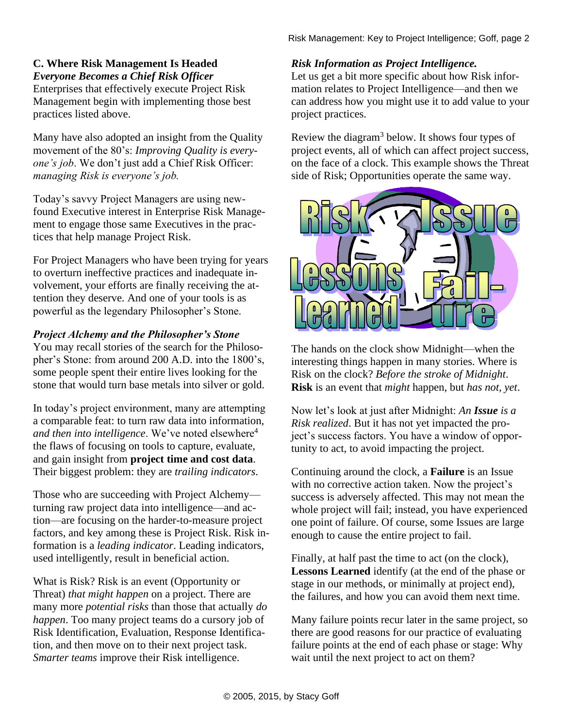# **C. Where Risk Management Is Headed** *Everyone Becomes a Chief Risk Officer*

Enterprises that effectively execute Project Risk Management begin with implementing those best practices listed above.

Many have also adopted an insight from the Quality movement of the 80's: *Improving Quality is everyone's job*. We don't just add a Chief Risk Officer: *managing Risk is everyone's job.*

Today's savvy Project Managers are using newfound Executive interest in Enterprise Risk Management to engage those same Executives in the practices that help manage Project Risk.

For Project Managers who have been trying for years to overturn ineffective practices and inadequate involvement, your efforts are finally receiving the attention they deserve. And one of your tools is as powerful as the legendary Philosopher's Stone.

# *Project Alchemy and the Philosopher's Stone*

You may recall stories of the search for the Philosopher's Stone: from around 200 A.D. into the 1800's, some people spent their entire lives looking for the stone that would turn base metals into silver or gold.

In today's project environment, many are attempting a comparable feat: to turn raw data into information, *and then into intelligence*. We've noted elsewhere<sup>4</sup> the flaws of focusing on tools to capture, evaluate, and gain insight from **project time and cost data**. Their biggest problem: they are *trailing indicators*.

Those who are succeeding with Project Alchemy turning raw project data into intelligence—and action—are focusing on the harder-to-measure project factors, and key among these is Project Risk. Risk information is a *leading indicator*. Leading indicators, used intelligently, result in beneficial action.

What is Risk? Risk is an event (Opportunity or Threat) *that might happen* on a project. There are many more *potential risks* than those that actually *do happen*. Too many project teams do a cursory job of Risk Identification, Evaluation, Response Identification, and then move on to their next project task. *Smarter teams* improve their Risk intelligence.

# *Risk Information as Project Intelligence.*

Let us get a bit more specific about how Risk information relates to Project Intelligence—and then we can address how you might use it to add value to your project practices.

Review the diagram<sup>3</sup> below. It shows four types of project events, all of which can affect project success, on the face of a clock. This example shows the Threat side of Risk; Opportunities operate the same way.



The hands on the clock show Midnight—when the interesting things happen in many stories. Where is Risk on the clock? *Before the stroke of Midnight*. **Risk** is an event that *might* happen, but *has not, yet*.

Now let's look at just after Midnight: *An Issue is a Risk realized*. But it has not yet impacted the project's success factors. You have a window of opportunity to act, to avoid impacting the project.

Continuing around the clock, a **Failure** is an Issue with no corrective action taken. Now the project's success is adversely affected. This may not mean the whole project will fail; instead, you have experienced one point of failure. Of course, some Issues are large enough to cause the entire project to fail.

Finally, at half past the time to act (on the clock), **Lessons Learned** identify (at the end of the phase or stage in our methods, or minimally at project end), the failures, and how you can avoid them next time.

Many failure points recur later in the same project, so there are good reasons for our practice of evaluating failure points at the end of each phase or stage: Why wait until the next project to act on them?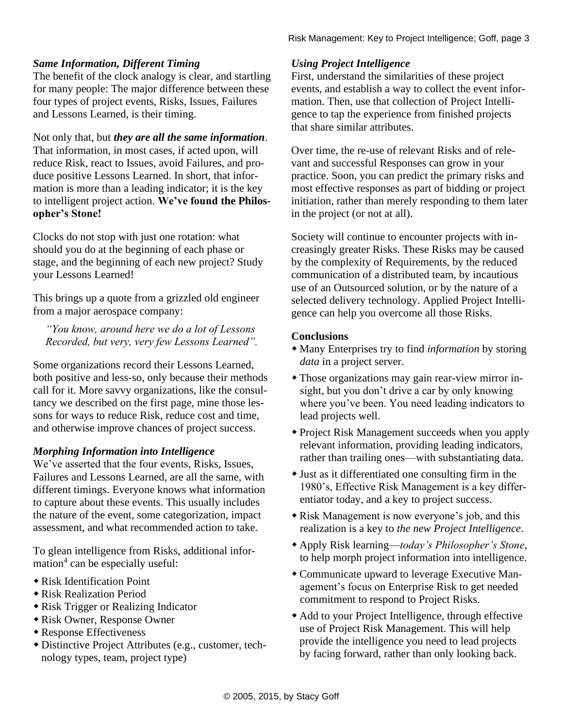# *Same Information, Different Timing*

The benefit of the clock analogy is clear, and startling for many people: The major difference between these four types of project events, Risks, Issues, Failures and Lessons Learned, is their timing.

Not only that, but *they are all the same information*. That information, in most cases, if acted upon, will reduce Risk, react to Issues, avoid Failures, and produce positive Lessons Learned. In short, that information is more than a leading indicator; it is the key to intelligent project action. **We've found the Philosopher's Stone!**

Clocks do not stop with just one rotation: what should you do at the beginning of each phase or stage, and the beginning of each new project? Study your Lessons Learned!

This brings up a quote from a grizzled old engineer from a major aerospace company:

*"You know, around here we do a lot of Lessons Recorded, but very, very few Lessons Learned".* 

Some organizations record their Lessons Learned, both positive and less-so, only because their methods call for it. More savvy organizations, like the consultancy we described on the first page, mine those lessons for ways to reduce Risk, reduce cost and time, and otherwise improve chances of project success.

## *Morphing Information into Intelligence*

We've asserted that the four events, Risks, Issues, Failures and Lessons Learned, are all the same, with different timings. Everyone knows what information to capture about these events. This usually includes the nature of the event, some categorization, impact assessment, and what recommended action to take.

To glean intelligence from Risks, additional information<sup>4</sup> can be especially useful:

- Risk Identification Point
- Risk Realization Period
- Risk Trigger or Realizing Indicator
- Risk Owner, Response Owner
- Response Effectiveness
- Distinctive Project Attributes (e.g., customer, technology types, team, project type)

## *Using Project Intelligence*

First, understand the similarities of these project events, and establish a way to collect the event information. Then, use that collection of Project Intelligence to tap the experience from finished projects that share similar attributes.

Over time, the re-use of relevant Risks and of relevant and successful Responses can grow in your practice. Soon, you can predict the primary risks and most effective responses as part of bidding or project initiation, rather than merely responding to them later in the project (or not at all).

Society will continue to encounter projects with increasingly greater Risks. These Risks may be caused by the complexity of Requirements, by the reduced communication of a distributed team, by incautious use of an Outsourced solution, or by the nature of a selected delivery technology. Applied Project Intelligence can help you overcome all those Risks.

#### **Conclusions**

- Many Enterprises try to find *information* by storing *data* in a project server.
- Those organizations may gain rear-view mirror insight, but you don't drive a car by only knowing where you've been. You need leading indicators to lead projects well.
- Project Risk Management succeeds when you apply relevant information, providing leading indicators, rather than trailing ones—with substantiating data.
- Just as it differentiated one consulting firm in the 1980's, Effective Risk Management is a key differentiator today, and a key to project success.
- Risk Management is now everyone's job, and this realization is a key to *the new Project Intelligence*.
- Apply Risk learning—*today's Philosopher's Stone*, to help morph project information into intelligence.
- Communicate upward to leverage Executive Management's focus on Enterprise Risk to get needed commitment to respond to Project Risks.
- Add to your Project Intelligence, through effective use of Project Risk Management. This will help provide the intelligence you need to lead projects by facing forward, rather than only looking back.